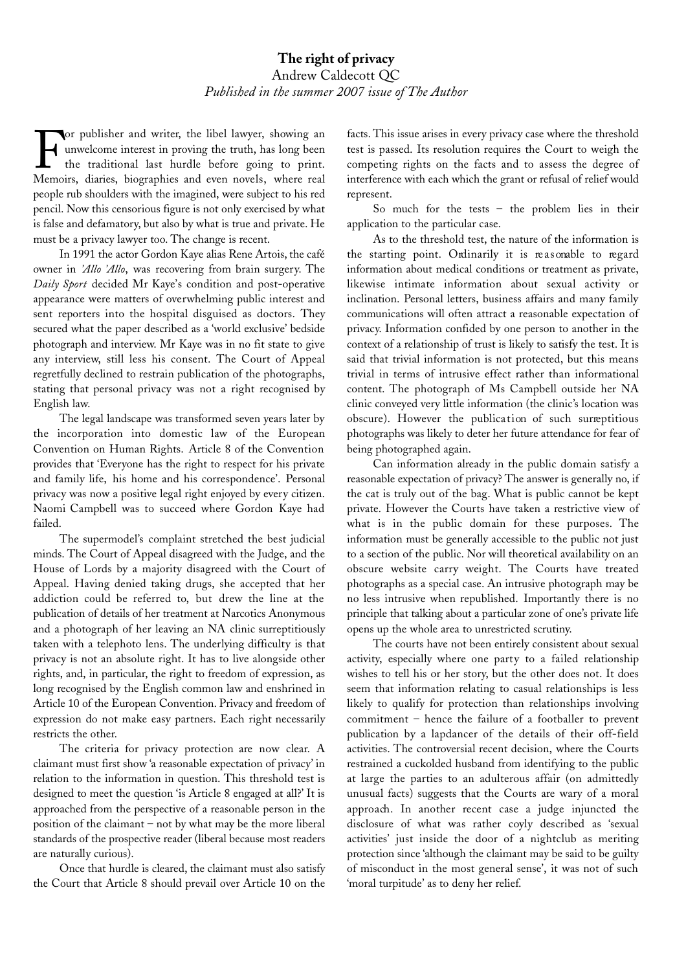## **The right of privacy** Andrew Caldecott QC *Published in the summer 2007 issue of The Author*

For publisher and writer, the libel lawyer, showing and unwelcome interest in proving the truth, has long been<br>the traditional last hurdle before going to print.<br>Memoirs diaries biographies and even novels, where real unwelcome interest in proving the truth, has long been the traditional last hurdle before going to print. Memoirs, diaries, biographies and even novels, where real people rub shoulders with the imagined, were subject to his red pencil. Now this censorious figure is not only exercised by what is false and defamatory, but also by what is true and private. He must be a privacy lawyer too. The change is recent.

In 1991 the actor Gordon Kaye alias Rene Artois, the café owner in *'Allo 'Allo*, was recovering from brain surgery. The *Daily Sport* decided Mr Kaye's condition and post-operative appearance were matters of overwhelming public interest and sent reporters into the hospital disguised as doctors. They secured what the paper described as a 'world exclusive' bedside photograph and interview. Mr Kaye was in no fit state to give any interview, still less his consent. The Court of Appeal regretfully declined to restrain publication of the photographs, stating that personal privacy was not a right recognised by English law.

The legal landscape was transformed seven years later by the incorporation into domestic law of the European Convention on Human Rights. Article 8 of the Convention provides that 'Everyone has the right to respect for his private and family life, his home and his correspondence'. Personal privacy was now a positive legal right enjoyed by every citizen. Naomi Campbell was to succeed where Gordon Kaye had failed.

The supermodel's complaint stretched the best judicial minds. The Court of Appeal disagreed with the Judge, and the House of Lords by a majority disagreed with the Court of Appeal. Having denied taking drugs, she accepted that her addiction could be referred to, but drew the line at the publication of details of her treatment at Narcotics Anonymous and a photograph of her leaving an NA clinic surreptitiously taken with a telephoto lens. The underlying difficulty is that privacy is not an absolute right. It has to live alongside other rights, and, in particular, the right to freedom of expression, as long recognised by the English common law and enshrined in Article 10 of the European Convention. Privacy and freedom of expression do not make easy partners. Each right necessarily restricts the other.

The criteria for privacy protection are now clear. A claimant must first show 'a reasonable expectation of privacy' in relation to the information in question. This threshold test is designed to meet the question 'is Article 8 engaged at all?' It is approached from the perspective of a reasonable person in the position of the claimant – not by what may be the more liberal standards of the prospective reader (liberal because most readers are naturally curious).

Once that hurdle is cleared, the claimant must also satisfy the Court that Article 8 should prevail over Article 10 on the

facts. This issue arises in every privacy case where the threshold test is passed. Its resolution requires the Court to weigh the competing rights on the facts and to assess the degree of interference with each which the grant or refusal of relief would represent.

So much for the tests  $-$  the problem lies in their application to the particular case.

As to the threshold test, the nature of the information is the starting point. Ordinarily it is reasonable to regard information about medical conditions or treatment as private, likewise intimate information about sexual activity or inclination. Personal letters, business affairs and many family communications will often attract a reasonable expectation of privacy. Information confided by one person to another in the context of a relationship of trust is likely to satisfy the test. It is said that trivial information is not protected, but this means trivial in terms of intrusive effect rather than informational content. The photograph of Ms Campbell outside her NA clinic conveyed very little information (the clinic's location was obscure). However the publication of such surreptitious photographs was likely to deter her future attendance for fear of being photographed again.

Can information already in the public domain satisfy a reasonable expectation of privacy? The answer is generally no, if the cat is truly out of the bag. What is public cannot be kept private. However the Courts have taken a restrictive view of what is in the public domain for these purposes. The information must be generally accessible to the public not just to a section of the public. Nor will theoretical availability on an obscure website carry weight. The Courts have treated photographs as a special case. An intrusive photograph may be no less intrusive when republished. Importantly there is no principle that talking about a particular zone of one's private life opens up the whole area to unrestricted scrutiny.

The courts have not been entirely consistent about sexual activity, especially where one party to a failed relationship wishes to tell his or her story, but the other does not. It does seem that information relating to casual relationships is less likely to qualify for protection than relationships involving commitment – hence the failure of a footballer to prevent publication by a lapdancer of the details of their off-field activities. The controversial recent decision, where the Courts restrained a cuckolded husband from identifying to the public at large the parties to an adulterous affair (on admittedly unusual facts) suggests that the Courts are wary of a moral approach. In another recent case a judge injuncted the disclosure of what was rather coyly described as 'sexual activities' just inside the door of a nightclub as meriting protection since 'although the claimant may be said to be guilty of misconduct in the most general sense', it was not of such 'moral turpitude' as to deny her relief.